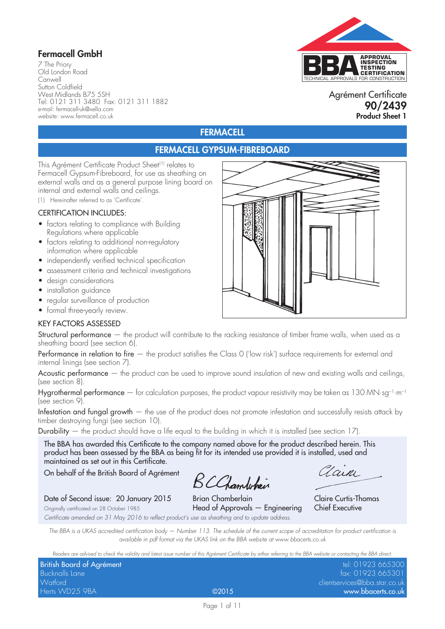# Fermacell GmbH

7 The Priory Old London Road Canwell Sutton Coldfield West Midlands B75 5SH Tel: 0121 311 3480 Fax: 0121 311 1882 e-mail: fermacell-uk@xella.com website: www.fermacell.co.uk



### Agrément Certificate 90/2439 Product Sheet 1

# **FERMACELL**

# FERMACELL GYPSUM-FIBREBOARD

This Agrément Certificate Product Sheet<sup>(1)</sup> relates to Fermacell Gypsum-Fibreboard, for use as sheathing on external walls and as a general purpose lining board on internal and external walls and ceilings.

(1) Hereinafter referred to as 'Certificate'.

### CERTIFICATION INCLUDES:

- factors relating to compliance with Building Regulations where applicable
- factors relating to additional non-regulatory information where applicable
- independently verified technical specification
- assessment criteria and technical investigations
- design considerations
- installation guidance
- regular surveillance of production
- formal three-yearly review.

#### KEY FACTORS ASSESSED

Structural performance — the product will contribute to the racking resistance of timber frame walls, when used as a sheathing board (see section 6).

Performance in relation to fire — the product satisfies the Class 0 ('low risk') surface requirements for external and internal linings (see section 7).

Acoustic performance — the product can be used to improve sound insulation of new and existing walls and ceilings, (see section 8).

Hygrothermal performance  $-$  for calculation purposes, the product vapour resistivity may be taken as 130 MN·sg<sup>-1</sup>·m<sup>-1</sup> (see section 9).

Infestation and fungal growth — the use of the product does not promote infestation and successfully resists attack by timber destroying fungi (see section 10).

**Durability** — the product should have a life equal to the building in which it is installed (see section 17).

The BBA has awarded this Certificate to the company named above for the product described herein. This product has been assessed by the BBA as being fit for its intended use provided it is installed, used and maintained as set out in this Certificate.

On behalf of the British Board of Agrément

BCChambehain

aain

Claire Curtis-Thomas

Date of Second issue: 20 January 2015 Brian Chamberlain

Originally certificated on 28 October 1985 **Head of Approvals — Engineering Chief Executive** *Certificate amended on 31 May 2016 to reflect product's use as sheathing and to update address.*

*The BBA is a UKAS accredited certification body — Number 113. The schedule of the current scope of accreditation for product certification is available in pdf format via the UKAS link on the BBA website at www.bbacerts.co.uk*

*Readers are advised to check the validity and latest issue number of this Agrément Certificate by either referring to the BBA website or contacting the BBA direct.*

|                                  | who have need themest of mid-harding the commodial at union harding to me per introduced and many the performa |                               |
|----------------------------------|----------------------------------------------------------------------------------------------------------------|-------------------------------|
| <b>British Board of Agrément</b> |                                                                                                                | tel: 01923 665300             |
| Bucknalls Lane                   |                                                                                                                | fax: 01923 665301             |
| Watford                          |                                                                                                                | clientservices@bba.star.co.uk |
| Herts WD25 9BA                   | @2015                                                                                                          | www.bbacerts.co.uk            |

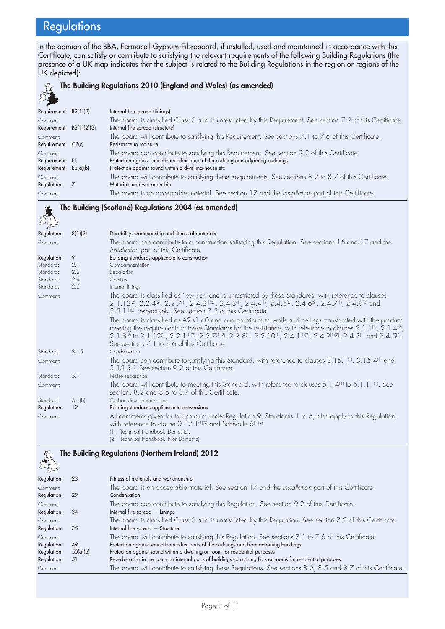# **Regulations**

In the opinion of the BBA, Fermacell Gypsum-Fibreboard, if installed, used and maintained in accordance with this Certificate, can satisfy or contribute to satisfying the relevant requirements of the following Building Regulations (the presence of a UK map indicates that the subject is related to the Building Regulations in the region or regions of the UK depicted):

#### 经济 The Building Regulations 2010 (England and Wales) (as amended)

| Requirement: B2(1)(2)      | Internal fire spread (linings)                                                                                |
|----------------------------|---------------------------------------------------------------------------------------------------------------|
| Comment:                   | The board is classified Class 0 and is unrestricted by this Requirement. See section 7.2 of this Certificate. |
| Requirement: $B3(1)(2)(3)$ | Internal fire spread (structure)                                                                              |
| Comment:                   | The board will contribute to satisfying this Requirement. See sections 7.1 to 7.6 of this Certificate.        |
| Requirement: C2(c)         | Resistance to moisture                                                                                        |
| Comment:                   | The board can contribute to satisfying this Requirement. See section 9.2 of this Certificate                  |
| Requirement: E1            | Protection against sound from other parts of the building and adjoining buildings                             |
| Requirement: $E2(a)(b)$    | Protection against sound within a dwelling-house etc                                                          |
| Comment:                   | The board will contribute to satisfying these Requirements. See sections 8.2 to 8.7 of this Certificate.      |
| Regulation:                | Materials and workmanship                                                                                     |
| Comment:                   | The board is an acceptable material. See section 17 and the Installation part of this Certificate.            |

#### The Building (Scotland) Regulations 2004 (as amended)

| Regulation: | 8(1)(2) | Durability, workmanship and fitness of materials                                                                                                                                                                                                                                                                                                                                                                                                                                            |
|-------------|---------|---------------------------------------------------------------------------------------------------------------------------------------------------------------------------------------------------------------------------------------------------------------------------------------------------------------------------------------------------------------------------------------------------------------------------------------------------------------------------------------------|
| Comment:    |         | The board can contribute to a construction satisfying this Regulation. See sections 16 and 17 and the<br>Installation part of this Certificate.                                                                                                                                                                                                                                                                                                                                             |
| Regulation: | 9       | Building standards applicable to construction                                                                                                                                                                                                                                                                                                                                                                                                                                               |
| Standard:   | 2.1     | Compartmentation                                                                                                                                                                                                                                                                                                                                                                                                                                                                            |
| Standard:   | 2.2     | Separation                                                                                                                                                                                                                                                                                                                                                                                                                                                                                  |
| Standard:   | 2.4     | Cavities                                                                                                                                                                                                                                                                                                                                                                                                                                                                                    |
| Standard:   | 2.5     | Internal linings                                                                                                                                                                                                                                                                                                                                                                                                                                                                            |
| Comment:    |         | The board is classified as 'low risk' and is unrestricted by these Standards, with reference to clauses<br>2.1.12 <sup>(2)</sup> , 2.2.4 <sup>(2)</sup> , 2.2.7 <sup>(1)</sup> , 2.4.2 <sup>(1)</sup> (2), 2.4.3 <sup>(1)</sup> , 2.4.4 <sup>(1)</sup> , 2.4.5 <sup>(2)</sup> , 2.4.6 <sup>(2)</sup> , 2.4.7 <sup>(1)</sup> , 2.4.9 <sup>(2)</sup> and<br>2.5.1(1)(2) respectively. See section 7.2 of this Certificate.                                                                    |
|             |         | The board is classified as A2-s 1, dO and can contribute to walls and ceilings constructed with the product<br>meeting the requirements of these Standards for fire resistance, with reference to clauses 2.1.1 <sup>(2)</sup> , 2.1.4 <sup>(2)</sup> ,<br>$2.1.8^{[2]}$ to $2.1.12^{[2]}$ , $2.2.1^{[1][2]}$ , $2.2.7^{[1][2]}$ , $2.2.8^{[1]}$ , $2.2.10^{[1]}$ , $2.4.1^{[1][2]}$ , $2.4.2^{[1][2]}$ , $2.4.3^{[1]}$ and $2.4.5^{[2]}$ .<br>See sections 7.1 to 7.6 of this Certificate. |
| Standard:   | 3.15    | Condensation                                                                                                                                                                                                                                                                                                                                                                                                                                                                                |
| Comment:    |         | The board can contribute to satisfying this Standard, with reference to clauses 3.15.1 <sup>(1)</sup> , 3.15.4 <sup>(1)</sup> and<br>3.15.5 <sup>(1)</sup> . See section 9.2 of this Certificate.                                                                                                                                                                                                                                                                                           |
| Standard:   | 5.1     | Noise separation                                                                                                                                                                                                                                                                                                                                                                                                                                                                            |
| Comment:    |         | The board will contribute to meeting this Standard, with reference to clauses 5.1.4 <sup>(1)</sup> to 5.1.11 <sup>(1)</sup> . See<br>sections 8.2 and 8.5 to 8.7 of this Certificate.                                                                                                                                                                                                                                                                                                       |
| Standard:   | 6.1(b)  | Carbon dioxide emissions                                                                                                                                                                                                                                                                                                                                                                                                                                                                    |
| Regulation: | 12      | Building standards applicable to conversions                                                                                                                                                                                                                                                                                                                                                                                                                                                |
| Comment:    |         | All comments given for this product under Regulation 9, Standards 1 to 6, also apply to this Regulation,<br>with reference to clause 0.12.1 <sup>(1)(2)</sup> and Schedule 6 <sup>(1)(2)</sup> .<br>Technical Handbook (Domestic).                                                                                                                                                                                                                                                          |
|             |         | Technical Handbook (Non-Domestic).<br>(2)                                                                                                                                                                                                                                                                                                                                                                                                                                                   |

### $33$ The Building Regulations (Northern Ireland) 2012

| $\sim$ $\approx$ |          |                                                                                                               |
|------------------|----------|---------------------------------------------------------------------------------------------------------------|
| Regulation:      | 23       | Fitness of materials and workmanship                                                                          |
| Comment:         |          | The board is an acceptable material. See section 17 and the Installation part of this Certificate.            |
| Regulation:      | 29       | Condensation                                                                                                  |
| Comment:         |          | The board can contribute to satisfying this Regulation. See section 9.2 of this Certificate.                  |
| Regulation:      | 34       | Internal fire spread $-$ Linings                                                                              |
| Comment:         |          | The board is classified Class 0 and is unrestricted by this Regulation. See section 7.2 of this Certificate.  |
| Regulation:      | 35       | Internal fire spread - Structure                                                                              |
| Comment:         |          | The board will contribute to satisfying this Regulation. See sections 7.1 to 7.6 of this Certificate.         |
| Regulation:      | 49       | Protection against sound from other parts of the buildings and from adjoining buildings                       |
| Regulation:      | 50(a)(b) | Protection against sound within a dwelling or room for residential purposes                                   |
| Regulation:      | 51       | Reverberation in the common internal parts of buildings containing flats or rooms for residential purposes    |
| Comment:         |          | The board will contribute to satisfying these Regulations. See sections 8.2, 8.5 and 8.7 of this Certificate. |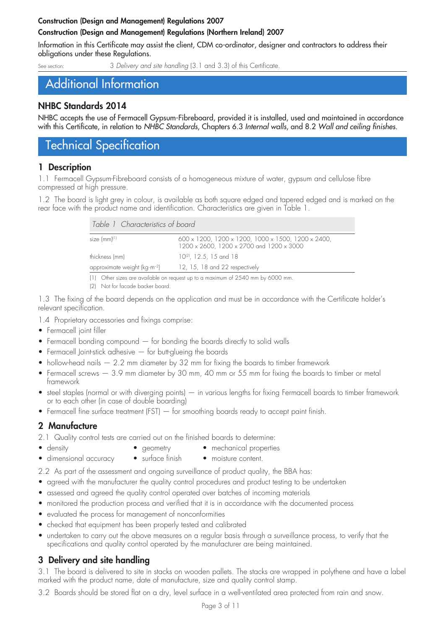### Construction (Design and Management) Regulations 2007 Construction (Design and Management) Regulations (Northern Ireland) 2007

Information in this Certificate may assist the client, CDM co-ordinator, designer and contractors to address their obligations under these Regulations.

3 Delivery and site handling (3.1 and 3.3) of this Certificate.

# Additional Information

## NHBC Standards 2014

NHBC accepts the use of Fermacell Gypsum-Fibreboard, provided it is installed, used and maintained in accordance with this Certificate, in relation to *NHBC Standards*, Chapters 6.3 *Internal walls*, and 8.2 *Wall and ceiling finishes*.

# Technical Specification

## 1 Description

1.1 Fermacell Gypsum-Fibreboard consists of a homogeneous mixture of water, gypsum and cellulose fibre compressed at high pressure.

1.2 The board is light grey in colour, is available as both square edged and tapered edged and is marked on the rear face with the product name and identification. Characteristics are given in Table 1.

| Table 1 Characteristics of board |                                                                                                |
|----------------------------------|------------------------------------------------------------------------------------------------|
| size (mm) <sup>(1)</sup>         | 600 x 1200, 1200 x 1200, 1000 x 1500, 1200 x 2400,<br>1200 x 2600, 1200 x 2700 and 1200 x 3000 |
| thickness (mm)                   | $10^{(2)}$ , 12.5, 15 and 18                                                                   |
| approximate weight ( $kg·m-2$ )  | 12, 15, 18 and 22 respectively                                                                 |
|                                  |                                                                                                |

(1) Other sizes are available on request up to a maximum of 2540 mm by 6000 mm.

(2) Not for facade backer board.

1.3 The fixing of the board depends on the application and must be in accordance with the Certificate holder's relevant specification.

1.4 Proprietary accessories and fixings comprise:

- Fermacell joint filler
- $\bullet$  Fermacell bonding compound  $-$  for bonding the boards directly to solid walls
- Fermacell Joint-stick adhesive  $-$  for butt-glueing the boards
- hollow-head nails  $-2.2$  mm diameter by 32 mm for fixing the boards to timber framework
- Fermacell screws  $-3.9$  mm diameter by 30 mm, 40 mm or 55 mm for fixing the boards to timber or metal framework
- steel staples (normal or with diverging points) in various lengths for fixing Fermacell boards to timber framework or to each other (in case of double boarding)
- Fermacell fine surface treatment (FST) for smoothing boards ready to accept paint finish.

# 2 Manufacture

2.1 Quality control tests are carried out on the finished boards to determine:

- 
- density **•** geometry mechanical properties
- dimensional accuracy surface finish moisture content.

2.2 As part of the assessment and ongoing surveillance of product quality, the BBA has:

- agreed with the manufacturer the quality control procedures and product testing to be undertaken
- assessed and agreed the quality control operated over batches of incoming materials
- monitored the production process and verified that it is in accordance with the documented process
- evaluated the process for management of nonconformities
- checked that equipment has been properly tested and calibrated
- undertaken to carry out the above measures on a regular basis through a surveillance process, to verify that the specifications and quality control operated by the manufacturer are being maintained.

# 3 Delivery and site handling

3.1 The board is delivered to site in stacks on wooden pallets. The stacks are wrapped in polythene and have a label marked with the product name, date of manufacture, size and quality control stamp.

3.2 Boards should be stored flat on a dry, level surface in a well-ventilated area protected from rain and snow.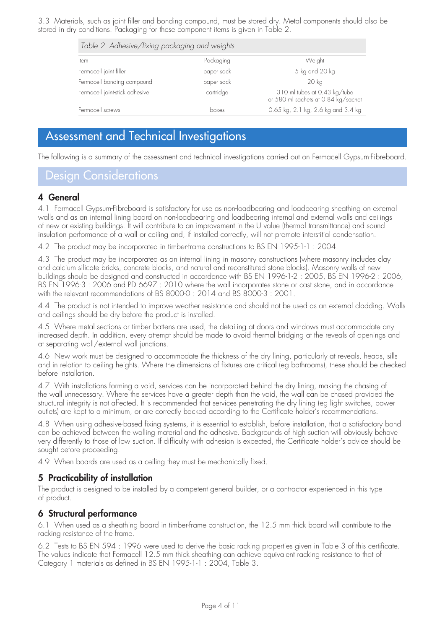3.3 Materials, such as joint filler and bonding compound, must be stored dry. Metal components should also be stored in dry conditions. Packaging for these component items is given in Table 2.

| Table 2 Adhesive/fixing packaging and weights |            |                                                                     |  |  |  |
|-----------------------------------------------|------------|---------------------------------------------------------------------|--|--|--|
| Item                                          | Packaging  | Weight                                                              |  |  |  |
| Fermacell joint filler                        | paper sack | 5 kg and 20 kg                                                      |  |  |  |
| Fermacell bonding compound                    | paper sack | 20 kg                                                               |  |  |  |
| Fermacell joint-stick adhesive                | cartridge  | 310 ml tubes at 0.43 kg/tube<br>or 580 ml sachets at 0.84 kg/sachet |  |  |  |
| Fermacell screws                              | boxes      | 0.65 kg, 2.1 kg, 2.6 kg and 3.4 kg                                  |  |  |  |

# Assessment and Technical Investigations

The following is a summary of the assessment and technical investigations carried out on Fermacell Gypsum-Fibreboard.

# Design Considerations

### 4 General

4.1 Fermacell Gypsum-Fibreboard is satisfactory for use as non-loadbearing and loadbearing sheathing on external walls and as an internal lining board on non-loadbearing and loadbearing internal and external walls and ceilings of new or existing buildings. It will contribute to an improvement in the U value (thermal transmittance) and sound insulation performance of a wall or ceiling and, if installed correctly, will not promote interstitial condensation.

4.2 The product may be incorporated in timber-frame constructions to BS EN 1995-1-1 : 2004.

4.3 The product may be incorporated as an internal lining in masonry constructions (where masonry includes clay and calcium silicate bricks, concrete blocks, and natural and reconstituted stone blocks). Masonry walls of new buildings should be designed and constructed in accordance with BS EN 1996-1-2: 2005, BS EN 1996-2: 2006, BS EN 1996-3 : 2006 and PD 6697 : 2010 where the wall incorporates stone or cast stone, and in accordance with the relevant recommendations of BS 8000-0 : 2014 and BS 8000-3 : 2001.

4.4 The product is not intended to improve weather resistance and should not be used as an external cladding. Walls and ceilings should be dry before the product is installed.

4.5 Where metal sections or timber battens are used, the detailing at doors and windows must accommodate any increased depth. In addition, every attempt should be made to avoid thermal bridging at the reveals of openings and at separating wall/external wall junctions.

4.6 New work must be designed to accommodate the thickness of the dry lining, particularly at reveals, heads, sills and in relation to ceiling heights. Where the dimensions of fixtures are critical (eg bathrooms), these should be checked before installation.

4.7 With installations forming a void, services can be incorporated behind the dry lining, making the chasing of the wall unnecessary. Where the services have a greater depth than the void, the wall can be chased provided the structural integrity is not affected. It is recommended that services penetrating the dry lining (eg light switches, power outlets) are kept to a minimum, or are correctly backed according to the Certificate holder's recommendations.

4.8 When using adhesive-based fixing systems, it is essential to establish, before installation, that a satisfactory bond can be achieved between the walling material and the adhesive. Backgrounds of high suction will obviously behave very differently to those of low suction. If difficulty with adhesion is expected, the Certificate holder's advice should be sought before proceeding.

4.9 When boards are used as a ceiling they must be mechanically fixed.

# 5 Practicability of installation

The product is designed to be installed by a competent general builder, or a contractor experienced in this type of product.

### 6 Structural performance

6.1 When used as a sheathing board in timber-frame construction, the 12.5 mm thick board will contribute to the racking resistance of the frame.

6.2 Tests to BS EN 594 : 1996 were used to derive the basic racking properties given in Table 3 of this certificate. The values indicate that Fermacell 12.5 mm thick sheathing can achieve equivalent racking resistance to that of Category 1 materials as defined in BS EN 1995-1-1 : 2004, Table 3.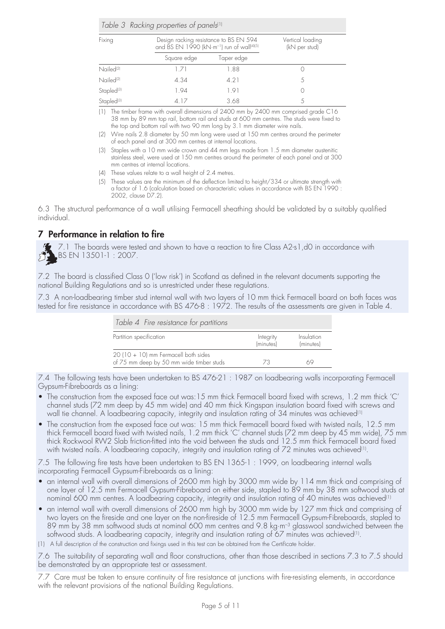|  |  |  | Table 3 Racking properties of panels <sup>(1)</sup> |  |
|--|--|--|-----------------------------------------------------|--|
|--|--|--|-----------------------------------------------------|--|

| Fixing                 | Design racking resistance to BS EN 594<br>and BS EN 1990 (kN·m <sup>-1</sup> ) run of wall <sup>(4)(5)</sup> |            | Vertical loading<br>(kN per stud) |
|------------------------|--------------------------------------------------------------------------------------------------------------|------------|-----------------------------------|
|                        | Square edge                                                                                                  | Taper edge |                                   |
| Nailed <sup>(2)</sup>  | 171                                                                                                          | 1.88       |                                   |
| Nailed <sup>(2)</sup>  | 4.34                                                                                                         | 4.21       |                                   |
| Stapled <sup>(3)</sup> | 1.94                                                                                                         | 1.91       |                                   |
| Stapled <sup>(3)</sup> | 417                                                                                                          | 3.68       |                                   |

(1) The timber frame with overall dimensions of 2400 mm by 2400 mm comprised grade C16 38 mm by 89 mm top rail, bottom rail and studs at 600 mm centres. The studs were fixed to the top and bottom rail with two 90 mm long by 3.1 mm diameter wire nails.

- (2) Wire nails 2.8 diameter by 50 mm long were used at 150 mm centres around the perimeter of each panel and at 300 mm centres at internal locations.
- (3) Staples with a 10 mm wide crown and 44 mm legs made from 1.5 mm diameter austenitic stainless steel, were used at 150 mm centres around the perimeter of each panel and at 300 mm centres at internal locations.
- (4) These values relate to a wall height of 2.4 metres.
- (5) These values are the minimum of the deflection limited to height/334 or ultimate strength with a factor of 1.6 (calculation based on characteristic values in accordance with BS EN 1990 : 2002, clause D7.2).

6.3 The structural performance of a wall utilising Fermacell sheathing should be validated by a suitably qualified individual.

# 7 Performance in relation to fire

7.1 The boards were tested and shown to have a reaction to fire Class A2-s1,d0 in accordance with BS EN 13501-1 : 2007.

7.2 The board is classified Class 0 ('low risk') in Scotland as defined in the relevant documents supporting the national Building Regulations and so is unrestricted under these regulations.

7.3 A non-loadbearing timber stud internal wall with two layers of 10 mm thick Fermacell board on both faces was tested for fire resistance in accordance with BS 476-8 : 1972. The results of the assessments are given in Table 4.

| Table 4 Fire resistance for partitions                                           |                        |                         |
|----------------------------------------------------------------------------------|------------------------|-------------------------|
| Partition specification                                                          | Integrity<br>(minutes) | Insulation<br>(minutes) |
| 20 (10 + 10) mm Fermacell both sides<br>of 75 mm deep by 50 mm wide timber studs | 73                     |                         |

7.4 The following tests have been undertaken to BS 476-21 : 1987 on loadbearing walls incorporating Fermacell Gypsum-Fibreboards as a lining:

- The construction from the exposed face out was:15 mm thick Fermacell board fixed with screws, 1.2 mm thick 'C' channel studs (72 mm deep by 45 mm wide) and 40 mm thick Kingspan insulation board fixed with screws and wall tie channel. A loadbearing capacity, integrity and insulation rating of 34 minutes was achieved<sup>(1)</sup>
- The construction from the exposed face out was: 15 mm thick Fermacell board fixed with twisted nails, 12.5 mm thick Fermacell board fixed with twisted nails, 1.2 mm thick 'C' channel studs (72 mm deep by 45 mm wide), 75 mm thick Rockwool RW2 Slab friction-fitted into the void between the studs and 12.5 mm thick Fermacell board fixed with twisted nails. A loadbearing capacity, integrity and insulation rating of 72 minutes was achieved<sup>(1)</sup>.

7.5 The following fire tests have been undertaken to BS EN 1365-1 : 1999, on loadbearing internal walls incorporating Fermacell Gypsum-Fibreboards as a lining:

- an internal wall with overall dimensions of 2600 mm high by 3000 mm wide by 114 mm thick and comprising of one layer of 12.5 mm Fermacell Gypsum-Fibreboard on either side, stapled to 89 mm by 38 mm softwood studs at nominal 600 mm centres. A loadbearing capacity, integrity and insulation rating of 40 minutes was achieved(1)
- an internal wall with overall dimensions of 2600 mm high by 3000 mm wide by 127 mm thick and comprising of two layers on the fireside and one layer on the non-fireside of 12.5 mm Fermacell Gypsum-Fibreboards, stapled to 89 mm by 38 mm softwood studs at nominal 600 mm centres and 9.8 kg·m–3 glasswool sandwiched between the softwood studs. A loadbearing capacity, integrity and insulation rating of 67 minutes was achieved<sup>(1)</sup>.
- (1) A full description of the construction and fixings used in this test can be obtained from the Certificate holder.

7.6 The suitability of separating wall and floor constructions, other than those described in sections 7.3 to 7.5 should be demonstrated by an appropriate test or assessment.

7.7 Care must be taken to ensure continuity of fire resistance at junctions with fire-resisting elements, in accordance with the relevant provisions of the national Building Regulations.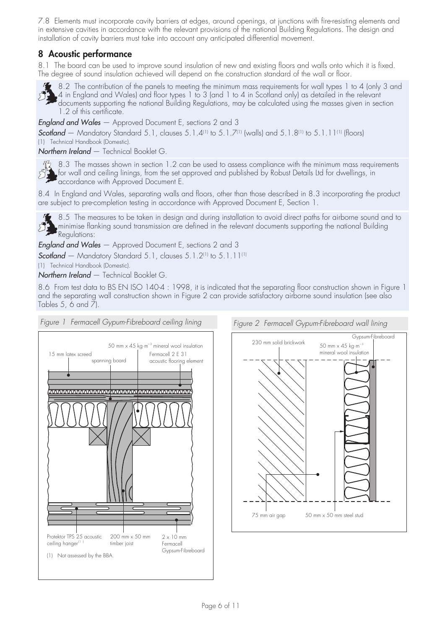7.8 Elements must incorporate cavity barriers at edges, around openings, at junctions with fire-resisting elements and in extensive cavities in accordance with the relevant provisions of the national Building Regulations. The design and installation of cavity barriers must take into account any anticipated differential movement.

## 8 Acoustic performance

8.1 The board can be used to improve sound insulation of new and existing floors and walls onto which it is fixed. The degree of sound insulation achieved will depend on the construction standard of the wall or floor.



8.2 The contribution of the panels to meeting the minimum mass requirements for wall types 1 to 4 (only 3 and 4 in England and Wales) and floor types 1 to 3 (and 1 to 4 in Scotland only) as detailed in the relevant documents supporting the national Building Regulations, may be calculated using the masses given in section 1.2 of this certificate.

*England and Wales* — Approved Document E, sections 2 and 3

*Scotland* — Mandatory Standard 5.1, clauses 5.1.4(1) to 5.1.7(1) (walls) and 5.1.8(1) to 5.1.11(1) (floors) (1) Technical Handbook (Domestic).

*Northern Ireland* — Technical Booklet G.

 $\frac{M}{2}$  8.3 The masses shown in section 1.2 can be used to assess compliance with the minimum mass requirements for wall and ceiling linings, from the set approved and published by Robust Details Ltd for dwellings, in accordance with Approved Document E.

8.4 In England and Wales, separating walls and floors, other than those described in 8.3 incorporating the product are subject to pre-completion testing in accordance with Approved Document E, Section 1.

8.5 The measures to be taken in design and during installation to avoid direct paths for airborne sound and to minimise flanking sound transmission are defined in the relevant documents supporting the national Building Regulations:

*England and Wales* — Approved Document E, sections 2 and 3

*Scotland* – Mandatory Standard 5.1, clauses 5.1.2<sup>(1)</sup> to 5.1.11<sup>(1)</sup>

(1) Technical Handbook (Domestic).

*Northern Ireland* — Technical Booklet G.

8.6 From test data to BS EN ISO 140-4 : 1998, it is indicated that the separating floor construction shown in Figure 1 and the separating wall construction shown in Figure 2 can provide satisfactory airborne sound insulation (see also Tables 5, 6 and  $\bar{7}$ ).



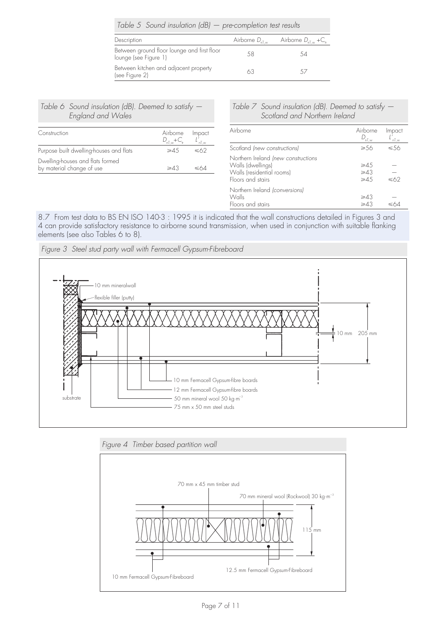| Table 5 Sound insulation $(dB)$ - pre-completion test results        |    |                                                                      |  |
|----------------------------------------------------------------------|----|----------------------------------------------------------------------|--|
| Description                                                          |    | Airborne $D_{n\bar{L},w}$ Airborne $D_{n\bar{L},w}$ +C <sub>tr</sub> |  |
| Between ground floor lounge and first floor<br>lounge (see Figure 1) | 58 | 54                                                                   |  |
| Between kitchen and adjacent property<br>(see Figure 2)              | 63 | $\sim$ /                                                             |  |

*Table 6 Sound insulation (dB). Deemed to satisfy — England and Wales*

| Construction                                                  | Airborne<br>$D_{\text{at w}} + C_{\text{tr}}$ | Impact<br>$nT_{,W}$ |
|---------------------------------------------------------------|-----------------------------------------------|---------------------|
| Purpose built dwelling-houses and flats                       | ≥45                                           | ≤62                 |
| Dwelling-houses and flats formed<br>by material change of use |                                               |                     |

#### *Table 7 Sound insulation (dB). Deemed to satisfy — Scotland and Northern Ireland*

| Airborne                                                                                                   | Airborne<br>$D_{n\underline{\tau},w}$         | Impact<br>,<br>nT,w |
|------------------------------------------------------------------------------------------------------------|-----------------------------------------------|---------------------|
| Scotland (new constructions)                                                                               | $\geqslant$ 56                                | ≤56                 |
| Northern Ireland (new constructions<br>Walls (dwellings)<br>Walls (residential rooms)<br>Floors and stairs | $\geqslant$ 45<br>$\geq 43$<br>$\geqslant$ 45 | ≤62                 |
| Northern Ireland (conversions)<br>Walls<br>Floors and stairs                                               | $\geq 43$<br>$\geq 43$                        |                     |

8.7 From test data to BS EN ISO 140-3 : 1995 it is indicated that the wall constructions detailed in Figures 3 and 4 can provide satisfactory resistance to airborne sound transmission, when used in conjunction with suitable flanking elements (see also Tables 6 to 8).



*Figure 3 Steel stud party wall with Fermacell Gypsum-Fibreboard*

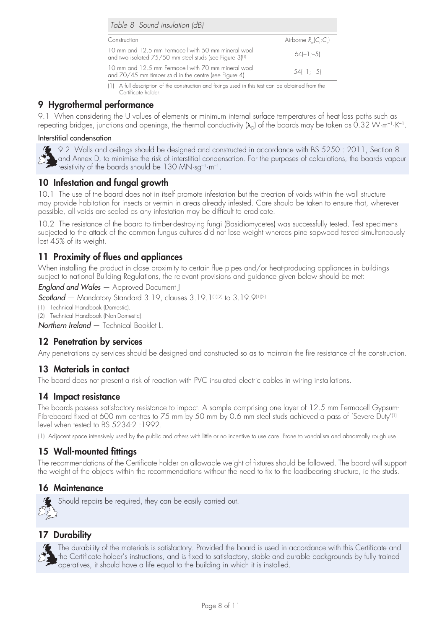| Table 8 Sound insulation (dB)                                                                                              |                          |
|----------------------------------------------------------------------------------------------------------------------------|--------------------------|
| Construction                                                                                                               | Airborne $R_u(C_i; C_u)$ |
| 10 mm and 12.5 mm Fermacell with 50 mm mineral wool<br>and two isolated 75/50 mm steel studs (see Figure 3) <sup>(1)</sup> | $64[-] = 5$              |
| 10 mm and 12.5 mm Fermacell with 70 mm mineral wool<br>and 70/45 mm timber stud in the centre (see Figure 4)               | $54(-1; -5)$             |

(1) A full description of the construction and fixings used in this test can be obtained from the Certificate holder.

## 9 Hygrothermal performance

9.1 When considering the U values of elements or minimum internal surface temperatures of heat loss paths such as repeating bridges, junctions and openings, the thermal conductivity  $(\lambda_n)$  of the boards may be taken as 0.32 W·m<sup>-1</sup>·K<sup>-1</sup>.

#### Interstitial condensation

9.2 Walls and ceilings should be designed and constructed in accordance with BS 5250: 2011, Section 8 and Annex D, to minimise the risk of interstitial condensation. For the purposes of calculations, the boards vapour resistivity of the boards should be 130 MN·sg<sup>-1</sup>·m<sup>-1</sup>.

## 10 Infestation and fungal growth

10.1 The use of the board does not in itself promote infestation but the creation of voids within the wall structure may provide habitation for insects or vermin in areas already infested. Care should be taken to ensure that, wherever possible, all voids are sealed as any infestation may be difficult to eradicate.

10.2 The resistance of the board to timber-destroying fungi (Basidiomycetes) was successfully tested. Test specimens subjected to the attack of the common fungus cultures did not lose weight whereas pine sapwood tested simultaneously lost 45% of its weight.

## 11 Proximity of flues and appliances

When installing the product in close proximity to certain flue pipes and/or heat-producing appliances in buildings subject to national Building Regulations, the relevant provisions and guidance given below should be met:

*England and Wales* — Approved Document J

*Scotland* — Mandatory Standard 3.19, clauses 3.19.1(1)(2) to 3.19.9(1)(2)

(1) Technical Handbook (Domestic).

(2) Technical Handbook (Non-Domestic).

*Northern Ireland* — Technical Booklet L.

### 12 Penetration by services

Any penetrations by services should be designed and constructed so as to maintain the fire resistance of the construction.

### 13 Materials in contact

The board does not present a risk of reaction with PVC insulated electric cables in wiring installations.

### 14 Impact resistance

The boards possess satisfactory resistance to impact. A sample comprising one layer of 12.5 mm Fermacell Gypsum-Fibreboard fixed at 600 mm centres to 75 mm by 50 mm by 0.6 mm steel studs achieved a pass of 'Severe Duty'<sup>(1)</sup> level when tested to BS 5234-2 :1992.

(1) Adjacent space intensively used by the public and others with little or no incentive to use care. Prone to vandalism and abnormally rough use.

## 15 Wall-mounted fittings

The recommendations of the Certificate holder on allowable weight of fixtures should be followed. The board will support the weight of the objects within the recommendations without the need to fix to the loadbearing structure, ie the studs.

### 16 Maintenance



Should repairs be required, they can be easily carried out.

## 17 Durability



The durability of the materials is satisfactory. Provided the board is used in accordance with this Certificate and the Certificate holder's instructions, and is fixed to satisfactory, stable and durable backgrounds by fully trained operatives, it should have a life equal to the building in which it is installed.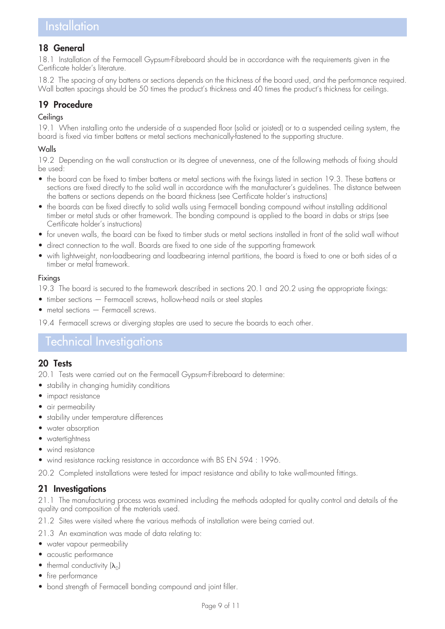### 18 General

18.1 Installation of the Fermacell Gypsum-Fibreboard should be in accordance with the requirements given in the Certificate holder's literature.

18.2 The spacing of any battens or sections depends on the thickness of the board used, and the performance required. Wall batten spacings should be 50 times the product's thickness and 40 times the product's thickness for ceilings.

## 19 Procedure

#### **Ceilings**

19.1 When installing onto the underside of a suspended floor (solid or joisted) or to a suspended ceiling system, the board is fixed via timber battens or metal sections mechanically-fastened to the supporting structure.

### Walls

19.2 Depending on the wall construction or its degree of unevenness, one of the following methods of fixing should be used:

- the board can be fixed to timber battens or metal sections with the fixings listed in section 19.3. These battens or sections are fixed directly to the solid wall in accordance with the manufacturer's guidelines. The distance between the battens or sections depends on the board thickness (see Certificate holder's instructions)
- the boards can be fixed directly to solid walls using Fermacell bonding compound without installing additional timber or metal studs or other framework. The bonding compound is applied to the board in dabs or strips (see Certificate holder's instructions)
- for uneven walls, the board can be fixed to timber studs or metal sections installed in front of the solid wall without
- direct connection to the wall. Boards are fixed to one side of the supporting framework
- • with lightweight, non-loadbearing and loadbearing internal partitions, the board is fixed to one or both sides of a timber or metal framework.

#### Fixings

19.3 The board is secured to the framework described in sections 20.1 and 20.2 using the appropriate fixings:

- timber sections Fermacell screws, hollow-head nails or steel staples
- $m$  metal sections  $-$  Fermacell screws.

19.4 Fermacell screws or diverging staples are used to secure the boards to each other.

# Technical Investigations

### 20 Tests

20.1 Tests were carried out on the Fermacell Gypsum-Fibreboard to determine:

- stability in changing humidity conditions
- impact resistance
- air permeability
- stability under temperature differences
- water absorption
- watertightness
- wind resistance
- wind resistance racking resistance in accordance with BS EN 594 : 1996.

20.2 Completed installations were tested for impact resistance and ability to take wall-mounted fittings.

## 21 Investigations

21.1 The manufacturing process was examined including the methods adopted for quality control and details of the quality and composition of the materials used.

21.2 Sites were visited where the various methods of installation were being carried out.

- 21.3 An examination was made of data relating to:
- water vapour permeability
- acoustic performance
- thermal conductivity  $(\lambda_{\cap})$
- fire performance
- bond strength of Fermacell bonding compound and joint filler.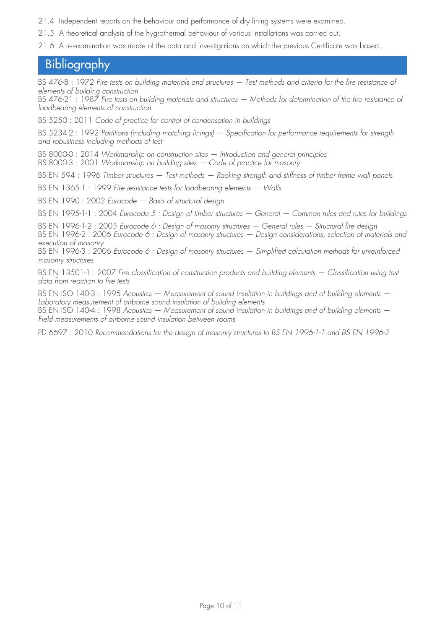- 21.4 Independent reports on the behaviour and performance of dry lining systems were examined.
- 21.5 A theoretical analysis of the hygrothermal behaviour of various installations was carried out.
- 21.6 A re-examination was made of the data and investigations on which the previous Certificate was based.

# **Bibliography**

BS 476-8 : 1972 *Fire tests on building materials and structures — Test methods and criteria for the fire resistance of elements of building construction*

BS 476-21 : 1987 *Fire tests on building materials and structures — Methods for determination of the fire resistance of loadbearing elements of construction*

BS 5250 : 2011 *Code of practice for control of condensation in buildings*

BS 5234-2 : 1992 *Partitions (including matching linings) — Specification for performance requirements for strength and robustness including methods of test*

BS 8000-0 : 2014 *Workmanship on construction sites — Introduction and general principles*

BS 8000-3 : 2001 *Workmanship on building sites — Code of practice for masonry*

BS EN 594 : 1996 *Timber structures — Test methods — Racking strength and stiffness of timber frame wall panels*

BS EN 1365-1 : 1999 *Fire resistance tests for loadbearing elements — Walls*

BS EN 1990 : 2002 *Eurocode — Basis of structural design*

BS EN 1995-1-1 : 2004 *Eurocode 5 : Design of timber structures — General — Common rules and rules for buildings*

BS EN 1996-1-2 : 2005 *Eurocode 6 : Design of masonry structures — General rules — Structural fire design*

BS EN 1996-2 : 2006 *Eurocode 6 : Design of masonry structures — Design considerations, selection of materials and execution of masonry*

BS EN 1996-3 : 2006 *Eurocode 6 : Design of masonry structures — Simplified calculation methods for unreinforced masonry structures*

BS EN 13501-1 : 2007 *Fire classification of construction products and building elements — Classification using test data from reaction to fire tests*

BS EN ISO 140-3 : 1995 Acoustics — Measurement of sound insulation in buildings and of building elements — *Laboratory measurement of airborne sound insulation of building elements*

BS EN ISO 140-4 : 1998 Acoustics — Measurement of sound insulation in buildings and of building elements — *Field measurements of airborne sound insulation between rooms*

PD 6697 : 2010 *Recommendations for the design of masonry structures to BS EN 1996-1-1 and BS EN 1996-2*